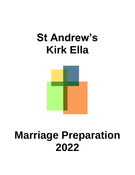# **St Andrew's Kirk Ella**



# **Marriage Preparation 2022**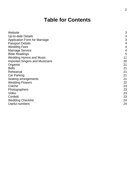# **Table for Contents**

| Website                               | 3              |
|---------------------------------------|----------------|
|                                       | 3              |
| Up-to-date Details                    |                |
| <b>Application Form for Marriage</b>  | 3              |
| <b>Passport Details</b>               | $\overline{4}$ |
| <b>Wedding Fees</b>                   | $\overline{4}$ |
| <b>Marriage Service</b>               | 4              |
| <b>Bible Readings</b>                 | 5              |
| <b>Wedding Hymns and Music</b>        | 11             |
| <b>Imported Singers and Musicians</b> | 20             |
| Organist                              | 21             |
| <b>Bells</b>                          | 21             |
| Rehearsal                             | 21             |
| <b>Car Parking</b>                    | 21             |
| Seating arrangements                  | 21             |
| <b>Wedding Flowers</b>                | 22             |
| Crèche                                | 23             |
| Photographers                         | 23             |
| Video                                 | 23             |
| Confetti                              | 23             |
| <b>Wedding Checklist</b>              | 24             |
| <b>Useful numbers</b>                 | 24             |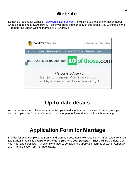# **Website**

Do have a look at our website – [www.kirkellachurch.com.](http://www.kirkellachurch.com/) It will give you lots of information about what is happening at St Andrew's. Also, if you need another copy of this booklet you will find it in the 'About us' tab under 'Getting married at St Andrew's'.



# **Up-to-date details**

As it is now a few months since you booked your wedding date with us, it would be helpful if you could complete the 'Up-to-date details' form – Appendix 1 – and return it to us this evening.

# **Application Form for Marriage**

In order for us to complete the Banns and Marriage documents we need certain information from you. It is *critical* that this is *accurate and must agree with your passport*. These will be the details on your marriage certificate. An example of how to complete the application form is shown in Appendix 2a. The application form is Appendix 2b.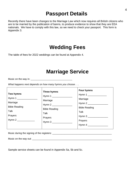# **Passport Details**

Recently there have been changes to the Marriage Law which now requires all British citizens who are to be married by the publication of banns, to produce evidence to show that they are EEA nationals. We have to comply with this law, so we need to check your passport. This form is Appendix 3.

# **Wedding Fees**

The table of fees for 2022 weddings can be found at Appendix 4.

# **Marriage Service**

Music on the way in: \_\_\_\_\_\_\_\_\_\_\_\_\_\_\_\_\_\_\_\_\_\_\_\_\_\_\_\_\_\_\_\_\_\_

*What happens next depends on how many hymns you choose . . .* 

| Two hymns<br>Hymn 1<br>Marriage<br><b>Bible Reading</b><br>Talk<br>Prayers | Three hymns<br>Marriage<br>Hymn 2<br><b>Bible Reading</b><br>Talk<br>Prayers<br>Hymn 3 | Four hymns<br>Marriage<br><b>Bible Reading</b><br>Talk<br>Prayers |
|----------------------------------------------------------------------------|----------------------------------------------------------------------------------------|-------------------------------------------------------------------|
|----------------------------------------------------------------------------|----------------------------------------------------------------------------------------|-------------------------------------------------------------------|

Music during the signing of the registers: \_\_\_\_\_\_\_\_\_\_\_\_\_\_\_\_\_\_\_\_\_\_\_\_\_\_\_\_\_\_\_\_\_\_\_\_\_\_\_\_\_\_\_\_

Music on the way out: \_\_\_\_\_\_\_\_\_\_\_\_\_\_\_\_\_\_\_\_\_\_\_\_\_\_\_\_\_\_\_\_\_\_\_\_\_\_\_\_\_\_\_\_\_\_\_\_\_\_\_\_\_\_\_\_\_\_\_

Sample service sheets can be found in Appendix 5a, 5b and 5c.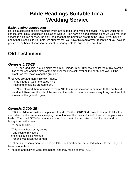# **Bible Readings Suitable for a Wedding Service**

#### *Bible reading suggestions*

Here is a selection of bible readings which are suitable for a wedding service. You are welcome to choose other bible readings in discussion with us – but here's a good starting point. As your marriage service is a church service, the only readings that are permitted are from the Bible. If you have a poem that is special to you both, we suggest that you have this read at your reception or you have it printed at the back of your service sheet for your guests to read in their own time.

# **Old Testament**

### *Genesis 1.26-28*

<sup>26</sup>Then God said, "Let us make man in our image, in our likeness, and let them rule over the fish of the sea and the birds of the air, over the livestock, over all the earth, and over all the creatures that move along the ground."

#### <sup>27</sup> So God created man in his own image,

in the image of God he created him; male and female he created them.

 $^{28}$ God blessed them and said to them, "Be fruitful and increase in number; fill the earth and subdue it. Rule over the fish of the sea and the birds of the air and over every living creature that moves on the ground." (NIV)

### *Genesis 2.20b-25*

 $^{22}$ But for Adam no suitable helper was found.  $^{21}$ So the LORD God caused the man to fall into a deep sleep; and while he was sleeping, he took one of the man's ribs and closed up the place with flesh. <sup>22</sup>Then the LORD God made a woman from the rib he had taken out of the man, and he brought her to the man.

 $23$ The man said,

"This is now bone of my bones and flesh of my flesh; she shall be called 'woman,' for she was taken out of man."

 $24$ For this reason a man will leave his father and mother and be united to his wife, and they will become one flesh.

<sup>25</sup>The man and his wife were both naked, and they felt no shame. (NIV)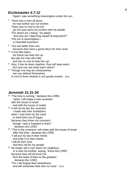### *Ecclesiastes 4.7-12*

<sup>7</sup>Again I saw something meaningless under the sun:

<sup>8</sup> There was a man all alone; he had neither son nor brother. There was no end to his toil, yet his eyes were not content with his wealth. "For whom am I toiling," he asked, "and why am I depriving myself of enjoyment?" This too is meaningless a miserable business!

 $9$  Two are better than one, because they have a good return for their work: <sup>10</sup> If one falls down,

his friend can help him up. But pity the man who falls and has no one to help him up!

<sup>11</sup> Also, if two lie down together, they will keep warm. But how can one keep warm alone?

 $12$  Though one may be overpowered, two can defend themselves. A cord of three strands is not quickly broken. (NIV)

### *Jeremiah 31.31 -34*

 $31$  "The time is coming," declares the LORD, "when I will make a new covenant with the house of Israel and with the house of Judah. <sup>32</sup> It will not be like the covenant I made with their forefathers when I took them by the hand to lead them out of Egypt, because they broke my covenant, though I was a husband to them," declares the LORD.  $33$  "This is the covenant I will make with the house of Israel after that time," declares the LORD. "I will put my law in their minds and write it on their hearts. I will be their God, and they will be my people.  $34$  No longer will a man teach his neighbour, or a man his brother, saying, 'Know the LORD,' because they will all know me, from the least of them to the greatest," declares the LORD. "For I will forgive their wi ckedness and will remember their sins no more." (NIV)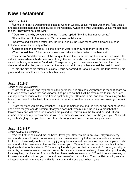## **New Testament**

#### *John 2.1-11*

 $1$ On the third day a wedding took place at Cana in Galilee. Jesus' mother was there,  $2$  and Jesus and his disciples had also been invited to the wedding. <sup>3</sup>When the wine was gone, Jesus' mother said to him, "They have no more wine."

4 "Dear woman, why do you involve me?" Jesus replied. "My time has not yet come."

<sup>5</sup>His mother said to the servants, "Do whatever he tells you."

<sup>6</sup>Nearby stood six stone water jars, the kind used by the Jews for ceremonial washing, each holding from twenty to thirty gallons.

 $7$ Jesus said to the servants, "Fill the jars with water"; so they filled them to the brim.

 $8$ Then he told them, "Now draw some out and take it to the master of the banquet."

They did so, <sup>9</sup>and the master of the banquet tasted the water that had been turned into wine. He did not realize where it had come from, though the servants who had drawn the water knew. Then he called the bridegroom aside <sup>10</sup>and said, "Everyone brings out the choice wine first and then the cheaper wine after the guests have had too much to drink; but you have saved the best till now."

<sup>11</sup>This, the first of his miraculous signs, Jesus performed at Cana in Galilee. He thus revealed his glory, and his disciples put their faith in him. (NIV)

### *John 15.1-8*

*Jesus said to his disciples:*

 $1<sup>4</sup>$  am the true vine, and my Father is the gardener. <sup>2</sup>He cuts off every branch in me that bears no fruit, while every branch that does bear fruit he prunes so that it will be even more fruitful. <sup>3</sup>You are already clean because of the word I have spoken to you. <sup>4</sup>Remain in me, and I will remain in you. No branch can bear fruit by itself; it must remain in the vine. Neither can you bear fruit unless you remain in me.

<sup>5"</sup>l am the vine; you are the branches. If a man remains in me and I in him, he will bear much fruit; apart from me you can do nothing. <sup>6</sup>lf anyone does not remain in me, he is like a branch that is thrown away and withers; such branches are picked up, thrown into the fire and burned. <sup>7</sup>If you remain in me and my words remain in you, ask whatever you wish, and it will be given you. <sup>8</sup>This is to my Father's glory, that you bear much fruit, showing yourselves to be my disciples. (NIV)

### *John 15.9-17*

Jesus said to his disciples:

<sup>9</sup> As the Father has loved me, so have I loved you. Now remain in my love. <sup>10</sup>If you obey my commands, you will remain in my love, just as I have obeyed my Father's commands and remain in his love. <sup>11</sup>I have told you this so that my joy may be in you and that your joy may be complete. <sup>12</sup>My command is this: Love each other as I have loved you. <sup>13</sup>Greater love has no one than this, that he lay down his life for his friends. <sup>14</sup> You are my friends if you do what I command. <sup>15</sup> I no longer call you servants, because a servant does not know his master's business. Instead, I have called you friends, for everything that I learned from my Father I have made known to you. <sup>16</sup>You did not choose me, but I chose you and appointed you to go and bear fruit—fruit that will last. Then the Father will give you whatever you ask in my name. <sup>17</sup>This is my command: Love each other. (NIV)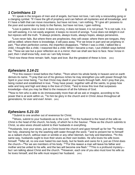#### *1 Corinthians 13*

<sup>1</sup>If I speak in the tongues of men and of angels, but have not love, I am only a resounding gong or a clanging cymbal. <sup>2</sup>If I have the gift of prophecy and can fathom all mysteries and all knowledge, and if I have a faith that can move mountains, but have not love, I am nothing. <sup>3</sup>If I give all I possess to the poor and surrender my body to the flames, but have not love, I gain nothing.

<sup>4</sup>Love is patient, love is kind. It does not envy, it does not boast, it is not proud. <sup>5</sup>It is not rude, it is not self-seeking, it is not easily angered, it keeps no record of wrongs. <sup>6</sup>Love does not delight in evil but rejoices with the truth. <sup>7</sup>It always protects, always trusts, always hopes, always perseveres.

<sup>8</sup> Love never fails. But where there are prophecies, they will cease; where there are tongues, they will be stilled; where there is knowledge, it will pass away. <sup>9</sup>For we know in part and we prophesy in part, <sup>10</sup>but when perfection comes, the imperfect disappears. <sup>11</sup>When I was a child, I talked like a child, I thought like a child, I reasoned like a child. When I became a man, I put childish ways behind me. <sup>12</sup>Now we see but a poor reflection as in a mirror; then we shall see face to face. Now I know in part; then I shall know fully, even as I am fully known.

<sup>13</sup>And now these three remain: faith, hope and love. But the greatest of these is love. (NIV)

#### *Ephesians 3.14-21*

<sup>14</sup>For this reason I kneel before the Father,  $15$  from whom his whole family in heaven and on earth derives its name. <sup>16</sup> pray that out of his glorious riches he may strengthen you with power through his Spirit in your inner being, <sup>17</sup>so that Christ may dwell in your hearts through faith. And I pray that you, being rooted and established in love, <sup>18</sup>may have power, together with all the saints, to grasp how wide and long and high and deep is the love of Christ,  $19$  and to know this love that surpasses knowledge—that you may be filled to the measure of all the fullness of God.

<sup>20</sup>Now to him who is able to do immeasurably more than all we ask or imagine, according to his power that is at work within us, <sup>21</sup> to him be glory in the church and in Christ Jesus throughout all generations, for ever and ever! Amen. (NIV)

#### *Ephesians 5.21-33*

<sup>21</sup>Submit to one another out of reverence for Christ.

 $22$ Wives, submit to your husbands as to the Lord.  $23$  For the husband is the head of the wife as Christ is the head of the church, his body, of which he is the Saviour. <sup>24</sup>Now as the church submits to Christ, so also wives should submit to their husbands in everything.

 $25$ Husbands, love your wives, just as Christ loved the church and gave himself up for her  $26$ to make her holy, cleansing her by the washing with water through the word, <sup>27</sup>and to present her to himself as a radiant church, without stain or wrinkle or any other blemish, but holy and blameless. <sup>28</sup>In this same way, husbands ought to love their wives as their own bodies. He who loves his wife loves himself. <sup>29</sup>After all, no one ever hated his own body, but he feeds and cares for it, just as Christ does the church— $30$  for we are members of his body.  $31$  "For this reason a man will leave his father and mother and be united to his wife, and the two will become one flesh." <sup>32</sup>This is a profound mystery but I am talking about Christ and the church. <sup>33</sup> However, each one of you also must love his wife as he loves himself, and the wife must respect her husband. (NIV)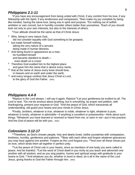#### *Philippians 2.1-11*

<sup>1</sup>If you have any encouragement from being united with Christ, if any comfort from his love, if any fellowship with the Spirit, if any tenderness and compassion,  $2$ then make my joy complete by being like-minded, having the same love, being one in spirit and purpose. <sup>3</sup>Do nothing out of selfish ambition or vain conceit, but in humility consider others better than yourselves. <sup>4</sup>Each of you should look not only to your own interests, but also to the interests of others.

<sup>5</sup>Your attitude should be the same as that of Christ Jesus:

- <sup>6</sup> Who, being in very nature God, did not consider equality with God something to be grasped,
- $7$  but made himself nothing, taking the very nature of a servant, being made in human likeness.
- <sup>8</sup> And being found in appearance as a man, he humbled himself and became obedient to death even death on a cross!
- $9$  Therefore God exalted him to the highest place and gave him the name that is above every name,
- $10$  that at the name of Jesus every knee should bow, in heaven and on earth and under the earth,
- <sup>11</sup> and every tongue confess that Jesus Christ is Lord, to the glory of God the Father. (NIV)

#### *Philippians 4.4-9*

<sup>4</sup>Reioice in the Lord always. I will say it again: Rejoice! <sup>5</sup>Let your gentleness be evident to all. The Lord is near. <sup>6</sup>Do not be anxious about anything, but in everything, by prayer and petition, with thanksgiving, present your requests to God. <sup>7</sup>And the peace of God, which transcends all understanding, will guard your hearts and your minds in Christ Jesus.

<sup>8</sup>Finally, brothers, whatever is true, whatever is noble, whatever is right, whatever is pure, whatever is lovely, whatever is admirable—if anything is excellent or praiseworthy—think about such things. <sup>9</sup>Whatever you have learned or received or heard from me, or seen in me—put it into practice. And the God of peace will be with you. (NIV)

#### *Colossians 3.12-17*

 $12$ Therefore, as God's chosen people, holy and dearly loved, clothe yourselves with compassion, kindness, humility, gentleness and patience. <sup>13</sup> Bear with each other and forgive whatever grievances you may have against one another. Forgive as the Lord forgave you. <sup>14</sup>And over all these virtues put on love, which binds them all together in perfect unity.

<sup>15</sup>Let the peace of Christ rule in your hearts, since as members of one body you were called to peace. And be thankful. <sup>16</sup>Let the word of Christ dwell in you richly as you teach and admonish one another with all wisdom, and as you sing psalms, hymns and spiritual songs with gratitude in your hearts to God. <sup>17</sup>And whatever you do, whether in word or deed, do it all in the name of the Lord Jesus, giving thanks to God the Father through him. (NIV)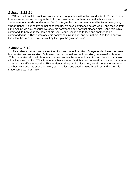### *1 John 3.18-24*

 $18$ Dear children, let us not love with words or tongue but with actions and in truth.  $19$ This then is how we know that we belong to the truth, and how we set our hearts at rest in his presence  $20$ whenever our hearts condemn us. For God is greater than our hearts, and he knows everything. <sup>21</sup>Dear friends, if our hearts do not condemn us, we have confidence before God <sup>22</sup>and receive from him anything we ask, because we obey his commands and do what pleases him.  $23$ And this is his command: to believe in the name of his Son, Jesus Christ, and to love one another as he commanded us. <sup>24</sup>Those who obey his commands live in him, and he in them. And this is how we know that he lives in us: We know it by the Spirit he gave us. (NIV)

### *1 John 4.7-12*

<sup>7</sup>Dear friends, let us love one another, for love comes from God. Everyone who loves has been born of God and knows God. <sup>8</sup>Whoever does not love does not know God, because God is love. <sup>9</sup>This is how God showed his love among us: He sent his one and only Son into the world that we might live through him. <sup>10</sup>This is love: not that we loved God, but that he loved us and sent his Son as an atoning sacrifice for our sins. <sup>11</sup>Dear friends, since God so loved us, we also ought to love one another. <sup>12</sup>No one has ever seen God; but if we love one another, God lives in us and his love is made complete in us. (NIV)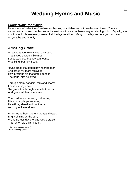# **Wedding Hymns and Music**

#### *Suggestions for hymns:*

Here is a brief selection of well-known hymns, or suitable words to well-known tunes. You are welcome to choose other hymns in discussion with us – but here's a good starting point. Equally, you don't have to choose every verse of all the hymns either. Many of the hymns here you can listen to on youtube and Spotify.

### **Amazing Grace**

Amazing grace! How sweet the sound That saved a wretch like me! I once was lost, but now am found, Was blind, but now I see.

'Twas grace that taught my heart to fear, And grace my fears relieved; How precious did that grace appear The hour I first believed!

Through many dangers, toils and snares, I have already come; 'Tis grace that brought me safe thus far, And grace will lead me home.

The Lord has promised good to me, His word my hope secures; He will my shield and portion be As long as life endures.

When we've been there a thousand years, Bright shining as the sun, We've no less days to sing God's praise Than when we'd first begun.

John Newton (1725-1807) Tune: Amazing grace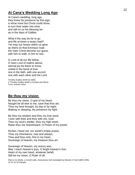### **At Cana's Wedding Long Ago**

At Cana's wedding, long ago, they knew his presence by this sign, a virtue none but Christ could show, to turn their water into wine: and still on us his blessing be as in the days of Galilee.

What if the way be far to go and life at times a weary load? Yet may our hearts within us glow as theirs on that Emmaus road: the risen Christ become our guest, with him to walk, in him to rest.

O Lord of all our life below, O risen Lord of realms above, eternal joy be theirs to know, united in the bond of love: one in the faith, with one accord, one with each other and the Lord.

Timothy Dudley-Smith (b.1926) © Timothy Dudley-Smith in Europe and Africa. Tune: Sussex Carol

### **Be thou my vision**

Be thou my vision, O god of my heart; Naught be all else to me, save that thou art; Thou my best thought, by day or by night, Waking or sleeping, thy presence my light.

Be thou my wisdom and thou my true word, I ever with thee and thou with me, God; Thou my soul's shelter, thou my high tower, Raise thou me heavenward, O Power of my power.

Riches I heed not, nor world's empty praise, Thou my inheritance, now and always; Thou and thou only, first in my heart, Sovereign of heaven, my treasure thou art.

Sovereign of heaven, my victory won, May I reach heaven's joys, O bright heaven's Sun. Heart of my own heart, whatever befall, Still be my vision, O Ruler of all.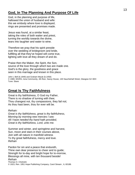### **God, In The Planning And Purpose Of Life**

God, in the planning and purpose of life, hallowed the union of husband and wife: this we embody where love is displayed, rings are presented and promises made.

Jesus was found, at a similar feast, taking the roles of both waiter and priest, turning the worldly towards the divine, tears into laughter and water to wine.

Therefore we pray that his spirit preside over the wedding of bridegroom and bride, fulfilling all that they've hoped will come true, lighting with love all they dream of and do.

Praise then the Maker, the Spirit, the Son, source of the love through which two are made one. God's is the glory, the goodness and grace seen in this marriage and known in this place.

John L Bell (b.1949) and Graham Maule (b.1958) © 1989, WGRG, Iona Community, 4th floor, Savoy House, 140 Sauchiehall Street, Glasgow G2 3DH Tune: Slane

## **Great Is Thy Faithfulness**

Great is thy faithfulness, O God my Father, There is no shadow of turning with thee; Thou changest not, thy compassions, they fail not; As thou hast been, thou for ever wilt be.

*Refrain:*

*Great is thy faithfulness, great is thy faithfulness, Morning by morning new mercies I see; All I have needed thy hand hath provided, Great is thy faithfulness, Lord, unto me.*

Summer and winter, and springtime and harvest, Sun, moon and stars in their courses above, Join with all nature in manifold witness To thy great faithfulness, mercy and love. *Refrain*

Pardon for sin and a peace that endureth, Thine own dear presence to cheer and to guide; Strength for to-day and bright hope for to-morrow, Blessings all mine, with ten thousand beside! *Refrain* Thomas O. Chisholm © 1923, Ren. 1951 Hope Publishing Company, Carol Stream , IL 60188.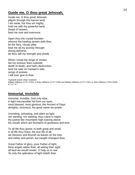### **Guide me, O thou great Jehovah,**

Guide me, O thou great Jehovah, pilgrim through this barren land; I am weak, but thou art mighty, hold me with thy powerful hand: bread of heaven, feed me now and evermore.

Open thou the crystal fountain whence the healing stream doth flow; let the fiery, cloudy pillar lead me all my journey through: strong deliverer, be thou still my strength and shield.

When I tread the verge of Jordan bid my anxious fears subside; death of death, and hell's destruction, land me safe on Canaan's side: songs of praises I will ever give to thee.

*Arglwydd arwain drwy'r anialwch* William Williams (1717-1791), tr Peter Williams (1727-1796) and William Williams (1717-1791) or John Williams (1754-1828) 8 7 8 7 4 7

## **Immortal, invisible**

Immortal, invisible, God only wise, in light inaccessible hid from our eyes, most blessed, most glorious, the Ancient of Days, almighty, victorious, thy great name we praise.

Unresting, unhasting, and silent as light, nor wanting, nor wasting, thou rulest in might; thy justice like mountains high soaring above thy clouds which are fountains of goodness and love.

To all life thou givest, to both great and small; in all life thou livest, the true life of all; we blossom and flourish as leaves on the tree, and wither and perish, but naught changest thee.

Great Father of glory, pure Father of light, thine angels adore thee, all veiling their sight all laud we would render: O help us to see 'tis only the splendour of light hideth thee.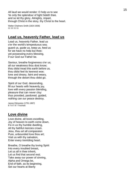All laud we would render: O help us to see 'tis only the splendour of light hideth thee. and so let thy glory, Almighty, impart, through Christ in the story, thy Christ to the heart.

```
Walter Chalmers Smith (1824
-1908)
11 11 11 11
```
### **Lead us, heavenly Father, lead us**

Lead us, heavenly Father, lead us o'er the world's tempestuous sea; guard us, guide us, keep us, feed us for we have no help but thee; yet possessing every blessing, if our God our Father be.

Saviour, breathe forgiveness o'er us; all our weakness thou dost know; thou didst tread this earth before us, thou didst feel its keenest woe; lone and dreary, faint and weary, through the desert thou didst go.

Spirit of our God, descending, fill our hearts with heavenly joy, love with every passion blending, pleasure that can never cloy: thus provided, pardoned, guided, nothing can our peace destroy.

James Edmeston (1791 -1867) 8 7 8 7 8 7 Trochaic

### **Love divine**

Love divine, all loves excelling, Joy of heaven to earth come down, Fix in us thy humble dwelling, All thy faithful mercies crown. Jesu, thou art all compassion Pure, unbounded love thou art; Visit us with thy salvation, Enter every trembling heart.

Breathe, O breathe thy loving Spirit Into every troubled breast, Let us all in thee inherit, Let us find that second rest; Take away our power of sinning, Alpha and Omega be , End of faith, as its beginning, Set our hearts at liberty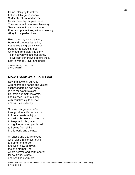Come, almighty to deliver, Let us all thy grace receive; Suddenly return, and never, Never more thy temples leave. Thee we would be always blessing, Serve thee as thy hosts above, Pray, and praise thee, without ceasing, Glory in thy perfect love.

Finish then thy new creation, Pure and spotless let us be; Let us see thy great salvation, Perfectly restored in thee: Changed from glory into glory, Till in heaven we take our place, Till we cast our crowns before thee, Lost in wonder, love, and praise!

Charles Wesley (1707-1788) 8 7 8 7 Trochaic

### **Now Thank we all our God**

Now thank we all our God with hearts and hands and voices; such wonders he has done! in him the world rejoices. He, from our mother's arms, has blessed us on our way with countless gifts of love, and still is ours today.

So may this generous God through all our life be near us; to fill our hearts with joy, and with his peace to cheer us: to keep us in his grace, and guide us when perplexed; to free us from all ills in this world and the next.

All praise and thanks to God who reigns in highest heaven, to Father and to Son and Spirit now be given, the one eternal God whom heaven and earth adore; for so it was, is now, and shall be evermore.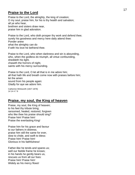### **Praise to the Lord**

Praise to the Lord, the almighty, the king of creation; O my soul, praise him, for his is thy health and salvation; all ye who hear, brethren and sisters draw near, praise him in glad adoration.

Praise to the Lord, who doth prosper thy work and defend thee; surely his goodness and mercy here daily attend thee: Ponder anew what the almighty can do if with his love he befriend thee.

Praise to the Lord, who when darkness and sin is abounding, who, when the godless do triumph, all virtue confounding, sheddeth his light, chaseth the horrors of night, saints with his mercy surrounding.

Praise to the Lord, O let all that is in me adore him; all that hath life and breath come now with praises before him; let the amen sound from his people again: Gladly for aye we adore him.

Catherine Winkworth (1827 -1878) 14 14 4 7 8

### **Praise, my soul, the King of heaven**

Praise, my soul, the King of heaven; to his feet thy tribute bring; ransomed, healed, restored, forgiven who like thee his praise should sing? Praise him! Praise him! Praise the everlasting King!

Praise him for his grace and favour to our fathers in distress; praise him still the same for ever, slow to chide, and swift to bless: Praise him! Praise him! Glorious in his faithfulness!

Father -like he tends and spares us; well our feeble frame he knows; in his hands he gently bears us, rescues us from all our foes: Praise him! Praise him! Widely as his mercy flows!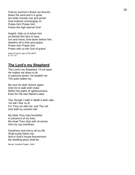Frail as summer's flower we flourish, blows the wind and it is gone; but while mortals rise and perish God endures unchanging on. Praise him! Praise him! Praise the high eternal One!

Angels, help us to adore him, ye behold him face to face; sun and moon, bow down before him, dwellers all in time and space: Praise him! Praise him! Praise with us the God of grace!

Henry Francis Lyte (1793 -1847) 8 7 8 7 8 7

### **The Lord's my Shepherd**

The Lord's my Shepherd, I'll not want. He makes me down to lie In pastures green; He leadeth me The quiet waters by.

My soul He doth restore again; And me to walk doth mak e Within the paths of righteousness, Even for His own Name's sake.

Yea, though I walk in death's dark vale, Yet will I fear no ill: For Thou art with me; and Thy rod And staff my comfort still.

My table Thou hast furnishèd In presence of my foes; My head Thou dost with oil anoint, And my cup overflows.

Goodness and mercy all my life Shall surely follow me; And in God's house forevermore My dwelling place shall be.

Words: Scottish Psalter, 1650.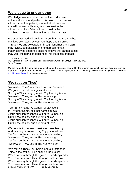### **We pledge to one another**

We pledge to one another, before the Lord above, entire and whole and perfect, this union of our love a love that will be patient, a love that will be wise, that will not twist with envy, nor lose itself in lies; a love that will not falter, a love to hold us fast, and bind us to each other as long as life shall last.

We pray that God will guide us through all the years to be, our lives be shaped by courage, hope and serenity. Through joy and celebration, through loneliness and pain, may loyalty, compassion and tenderness remain, that those who share the blessing of love that cannot cease may walk the paths of gentleness into the place of peace.

Jill Jenkins (born 1937) © Jill Jenkins, c/o Palmers Green United Reformed Church, Fox Lane, London N13 4AL. Tune: Thaxted

(As the words to this song are in copyright, and they are not covered by the Church's copyright licence, they may only be reproduced in your Order of Service by permission of the copyright holder. No charge will be made but you need to email jillix@supanet.com to obtain permission.)

### **'We rest on Thee'**

'We rest on Thee', our Shield and our Defender! We go not forth alone against the foe; Strong in Thy strength, safe in Thy keeping tender, 'We rest on Thee, and in Thy name we go.' Strong in Thy strength, safe in Thy keeping tender, 'We rest on Thee, and in Thy Name we go.'

Yes, 'in Thy name', O Captain of salvation! In Thy dear Name, all other names above; Jesus our Righteousness, our sure Foundation, Our Prince of glory and our King of love. Jesus our Righteousness, our sure Foundation, Our Prince of glory and our King of Love.

We go in faith, our own great weakness feeling, And needing more each day Thy grace to know: Yet from our hearts a song of triumph pealing; 'We rest on Thee, and in Thy name we go.' Yet from our hearts a song of triumph pealing; 'We rest on Thee, and in Thy Name we go.'

''We rest on Thee', -our Shield and our Defender! Thine is the battle, Thine shall be the praise; When passing through the gates of pearly splendour, Victors-we rest with Thee, through endless days. When passing through the gates of pearly splendour, Victors-we rest with Thee, through endless days. Edith A G Cherry (1872-1897) 11 10 11 10 11 10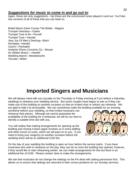### *Suggestions for music to come in and go out to*:

Again, these are only suggestions – but these are the commonest tunes played in and out. YouTube has versions of all of these that you can listen to.

Bridal March (Here Comes The Bride) - Wagner Trumpet Voluntary—Clarke Trumpet Tune & Air—Purcell Trumpet Tune—Handel Jesu Joy Of Man's Desiring—Bach Hornpipe—Handel Canon—Pachabel Andante (Piano Concerto 21) - Mozart Air (Water Music) —Handel Wedding March—Mendelssohn Toccata—Widor

# **Imported Singers and Musicians**

We will always meet with you (usually on the Thursday or Friday evening at 5 pm before a Saturday wedding) to rehearse your wedding service. But some couples have begun to ask us if they can make use of the building on another occasion so that an invited choir or soloist can rehearse. We are glad to help if at all possible. We can sometimes make the building available for an evening,

sometime before your wedding, so that invited musicians can rehearse their pieces. Although we cannot guarantee the availability of the building for a rehearsal, we will do our best to identify a suitable time slot with you.

You will realise that making arrangements for opening up the building and closing it down again involves us in extra staffing and other knock on costs, which we will pass on to you. If you need to bring your singer(s) on another occasion before the wedding there will be an additional £100 fee.



On the day of your wedding the building is open an hour before the service starts. If you have musicians who wish to rehearse on the day, they can do so once the building has opened, however, if they would like to start rehearsing earlier, we can make arrangements for this but there is an additional fee of £100. Please contact Jane to make the arrangements.

We ask that musicians do not change the settings on the PA desk with asking permission first. This allows us to ensure that settings are returned to their correct positions for our Sunday services.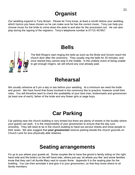# **Organist**

Our wedding organist is Tony Brown. Please let Tony know, at least a month before your wedding, which hymns you have chosen so he can make sure he has the correct music. Tony can help you choose music for the bride to come down the aisle to and also for the procession out. He can also play during the signing of the registers. Tony's telephone number is 07715 457857.

# **Bells**



The Bell Ringers start ringing the bells as soon as the Bride and Groom reach the church door after the ceremony. They usually ring the bells for 20 minutes, and once started they cannot stop in the middle. In the unlikely event of being unable to get enough ringers, we will refund any cost already paid.

# **Rehearsal**

We usually rehearse at 5 pm a day or two before your wedding. At a minimum we need the bride and groom. We have found that those involved in the ceremony like to practice, however small their roles. You will therefore want to check the availability of your best man, bridesmaids and groomsmen (at least one of each), father of the bride and any flower girls or page boys.

# **Car Parking**

Car parking near the church building is very limited but there are plenty of streets in the locality where your guests can park. It is the responsibility of your groomsmen to ensure that the day runs smoothly. They will need to be in the church building to hand out service sheets and show people to their seats. We also suggest that *your groomsmen* reserve parking beside the church grounds on Church Lane for less physically able relatives.

# **Seating arrangements**

It's up to you where your guests sit. Some couples like to have the groom's family sitting on the right hand side and the bride's on the left hand side, others just say 'sit where you like' and some families know that they can't sit Auntie Mary next to cousin Anne. Appendix 6 is the seating plan for the building. You can then annotate it and give it to your groomsmen, so that they know where to sit family members.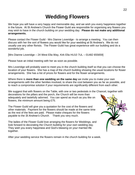# **Wedding Flowers**

We hope you will have a very happy and memorable day, and we wish you every happiness together in the future. At St Andrew's Church the Flower Guild are responsible for organising any flowers you may wish to have in the church building on your wedding day. **Please do not make any additional arrangements.**

Please contact the Flower Guild - Mrs Dianne Loveridge - to arrange a meeting. You can then discuss with her the sort of flowers you would like for your wedding at St Andrew's. We do not usually use any other florists. The Flower Guild has great experience with our building and do a wonderful job.

[Mrs Dianne Loveridge – 24 West Ella Way, Kirk Ella HU10 7UL – 01482 655659]

Please have an initial meeting with her as soon as possible.

Mrs Loveridge will probably want to meet you in the church building itself so that you can choose the location of your flowers. She has a map of the church building showing the usual locations for flower arrangements. She has a list of prices for flowers and for the flower arrangements.

Where there is **more than one wedding on the same day** we invite you to make your own arrangements with the other families involved, to share the cost between you as far as possible, and to reach a compromise solution if your requirements are significantly different from each other.

We suggest that with flowers on the Table, with one or two pedestals in the Chancel, together with decorations for the pillars and the porch, the Church will be more than adequately and tastefully adorned. You can spend as much as you like on flowers, the minimum amount being £75.

The Flower Guild will give you a quotation for the cost of the flowers and other materials. Payment for the flowers should be made at the same time as the rest of the fees are paid. Please make cheques for the flowers payable to the *St Andrew's Church*. Thank you very much.

The ladies of the Flower Guild love arranging the flowers for Weddings, and look forward to decorating the Church building for your own wedding day. They wish you every happiness and God's blessing on your married life together.

After your wedding service the flowers remain in the church building for a week.

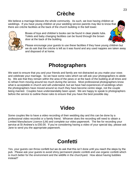# **Crèche**

We believe a marriage blesses the whole community. As such, we love having children at weddings. If you have young children at your wedding service parents may like to know that there are crèche facilities at the back of the church building in the bell tower.



Boxes of toys and children's books can be found in clear plastic tubs. Toilets and baby changing facilities can be found through the brown door at the back of the building.

Please encourage your guests to use these facilities if they have young children but we do ask that the crèche is left as it was found and any used nappies are taken away and disposed of at home.

# **Photographers**

We want to ensure that you and your friends and family are not distracted as you make your vows and celebrate your marriage. So we have some rules which we will ask your photographers to abide by. We ask that they remain within the area of the pews or at the back of the building at all times and to refrain from moving around too much during the service. Most professional photographers know what is acceptable in church and will understand, but we have had experiences of weddings when the photographers have moved around so much they have become centre stage, not the couple being married. Couples have understandably been upset. We are happy to speak to photographers before the service to outline these rules to ensure that you have the best possible day.

# **Video**

Some couples like to have a video recording of their wedding day and this can be done by a professional video recordist or a family friend. Whoever does the recording will need to obtain a Limited Manufacture Licence (LM) and complete our video paperwork. The fee for recording your service at St Andrew's is £50.00. If you're considering having a video of your special day, please ask Jane to send you the appropriate paperwork.

# **Confetti**

Yes, your guests can throw confetti but we do ask that this isn't done until you reach the steps by the pub. Please ask your guests to avoid shiny permanent plastic confetti and use organic confetti which is much better for the environment and the wildlife in the churchyard. How about having bubbles instead?